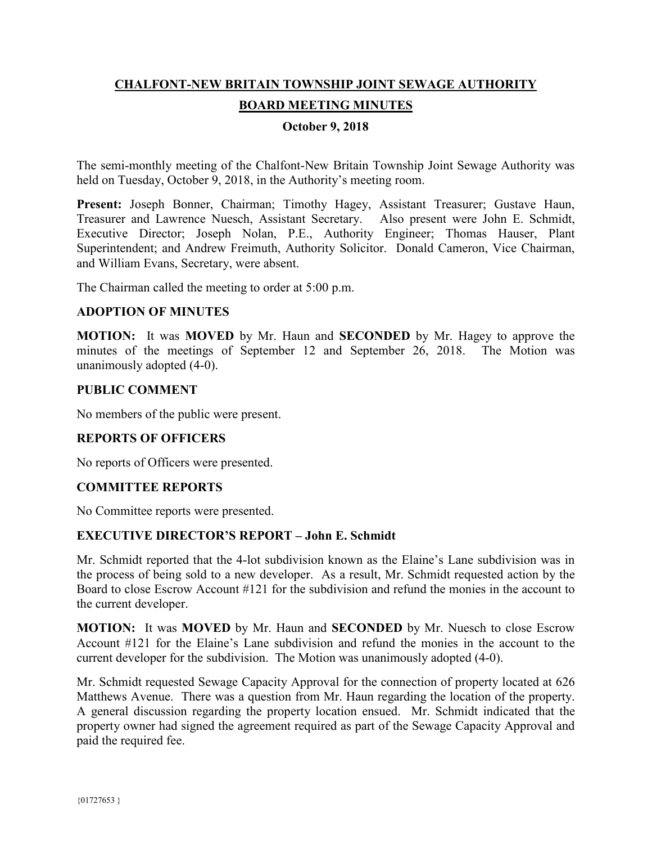# **CHALFONT-NEW BRITAIN TOWNSHIP JOINT SEWAGE AUTHORITY BOARD MEETING MINUTES**

### **October 9, 2018**

The semi-monthly meeting of the Chalfont-New Britain Township Joint Sewage Authority was held on Tuesday, October 9, 2018, in the Authority's meeting room.

**Present:** Joseph Bonner, Chairman; Timothy Hagey, Assistant Treasurer; Gustave Haun, Treasurer and Lawrence Nuesch, Assistant Secretary. Also present were John E. Schmidt, Executive Director; Joseph Nolan, P.E., Authority Engineer; Thomas Hauser, Plant Superintendent; and Andrew Freimuth, Authority Solicitor. Donald Cameron, Vice Chairman, and William Evans, Secretary, were absent.

The Chairman called the meeting to order at 5:00 p.m.

#### **ADOPTION OF MINUTES**

**MOTION:** It was **MOVED** by Mr. Haun and **SECONDED** by Mr. Hagey to approve the minutes of the meetings of September 12 and September 26, 2018. The Motion was unanimously adopted (4-0).

#### **PUBLIC COMMENT**

No members of the public were present.

#### **REPORTS OF OFFICERS**

No reports of Officers were presented.

## **COMMITTEE REPORTS**

No Committee reports were presented.

#### **EXECUTIVE DIRECTOR'S REPORT – John E. Schmidt**

Mr. Schmidt reported that the 4-lot subdivision known as the Elaine's Lane subdivision was in the process of being sold to a new developer. As a result, Mr. Schmidt requested action by the Board to close Escrow Account #121 for the subdivision and refund the monies in the account to the current developer.

**MOTION:** It was **MOVED** by Mr. Haun and **SECONDED** by Mr. Nuesch to close Escrow Account #121 for the Elaine's Lane subdivision and refund the monies in the account to the current developer for the subdivision. The Motion was unanimously adopted (4-0).

Mr. Schmidt requested Sewage Capacity Approval for the connection of property located at 626 Matthews Avenue. There was a question from Mr. Haun regarding the location of the property. A general discussion regarding the property location ensued. Mr. Schmidt indicated that the property owner had signed the agreement required as part of the Sewage Capacity Approval and paid the required fee.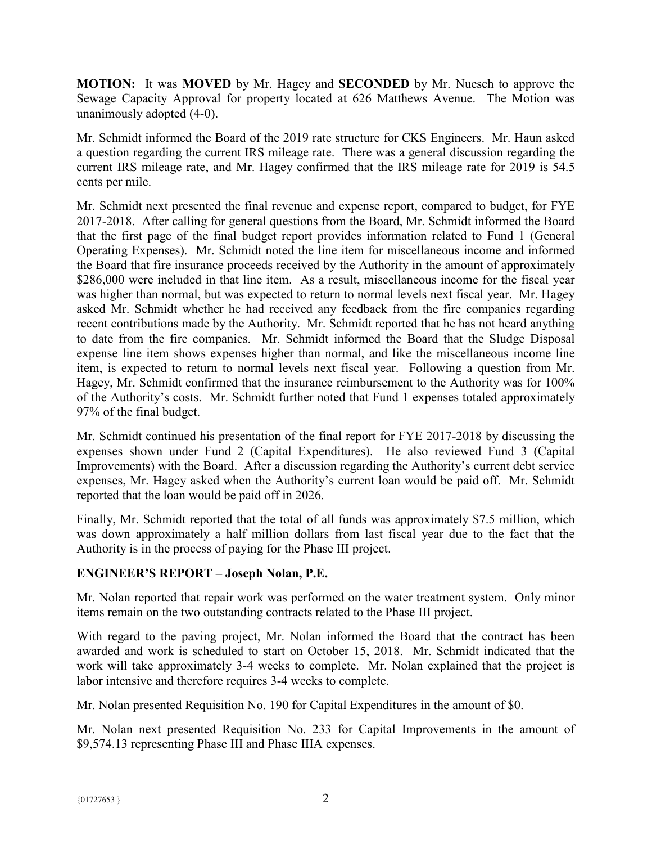**MOTION:** It was **MOVED** by Mr. Hagey and **SECONDED** by Mr. Nuesch to approve the Sewage Capacity Approval for property located at 626 Matthews Avenue. The Motion was unanimously adopted (4-0).

Mr. Schmidt informed the Board of the 2019 rate structure for CKS Engineers. Mr. Haun asked a question regarding the current IRS mileage rate. There was a general discussion regarding the current IRS mileage rate, and Mr. Hagey confirmed that the IRS mileage rate for 2019 is 54.5 cents per mile.

Mr. Schmidt next presented the final revenue and expense report, compared to budget, for FYE 2017-2018. After calling for general questions from the Board, Mr. Schmidt informed the Board that the first page of the final budget report provides information related to Fund 1 (General Operating Expenses). Mr. Schmidt noted the line item for miscellaneous income and informed the Board that fire insurance proceeds received by the Authority in the amount of approximately \$286,000 were included in that line item. As a result, miscellaneous income for the fiscal year was higher than normal, but was expected to return to normal levels next fiscal year. Mr. Hagey asked Mr. Schmidt whether he had received any feedback from the fire companies regarding recent contributions made by the Authority. Mr. Schmidt reported that he has not heard anything to date from the fire companies. Mr. Schmidt informed the Board that the Sludge Disposal expense line item shows expenses higher than normal, and like the miscellaneous income line item, is expected to return to normal levels next fiscal year. Following a question from Mr. Hagey, Mr. Schmidt confirmed that the insurance reimbursement to the Authority was for 100% of the Authority's costs. Mr. Schmidt further noted that Fund 1 expenses totaled approximately 97% of the final budget.

Mr. Schmidt continued his presentation of the final report for FYE 2017-2018 by discussing the expenses shown under Fund 2 (Capital Expenditures). He also reviewed Fund 3 (Capital Improvements) with the Board. After a discussion regarding the Authority's current debt service expenses, Mr. Hagey asked when the Authority's current loan would be paid off. Mr. Schmidt reported that the loan would be paid off in 2026.

Finally, Mr. Schmidt reported that the total of all funds was approximately \$7.5 million, which was down approximately a half million dollars from last fiscal year due to the fact that the Authority is in the process of paying for the Phase III project.

## **ENGINEER'S REPORT – Joseph Nolan, P.E.**

Mr. Nolan reported that repair work was performed on the water treatment system. Only minor items remain on the two outstanding contracts related to the Phase III project.

With regard to the paving project, Mr. Nolan informed the Board that the contract has been awarded and work is scheduled to start on October 15, 2018. Mr. Schmidt indicated that the work will take approximately 3-4 weeks to complete. Mr. Nolan explained that the project is labor intensive and therefore requires 3-4 weeks to complete.

Mr. Nolan presented Requisition No. 190 for Capital Expenditures in the amount of \$0.

Mr. Nolan next presented Requisition No. 233 for Capital Improvements in the amount of \$9,574.13 representing Phase III and Phase IIIA expenses.